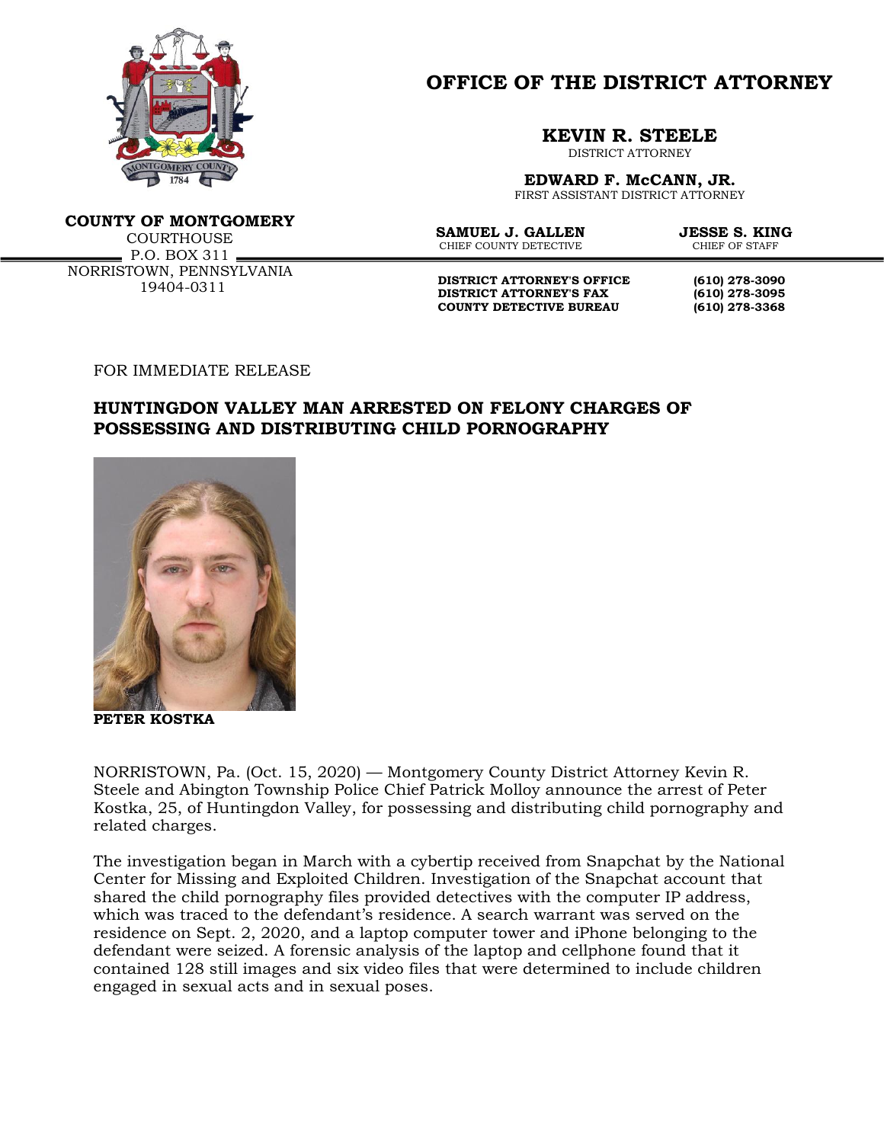

**OFFICE OF THE DISTRICT ATTORNEY**

## **KEVIN R. STEELE**

DISTRICT ATTORNEY

**EDWARD F. McCANN, JR.**

FIRST ASSISTANT DISTRICT ATTORNEY

**COUNTY OF MONTGOMERY** COURTHOUSE  $P.0. BOX 311 -$ NORRISTOWN, PENNSYLVANIA 19404-0311

**SAMUEL J. GALLEN JESSE S. KING**<br>CHIEF COUNTY DETECTIVE **CHIEF OF STAFF** CHIEF COUNTY DETECTIVE

**DISTRICT ATTORNEY'S OFFICE (610) 278-3090 DISTRICT ATTORNEY'S FAX (610) 278-3095 COUNTY DETECTIVE BUREAU (610) 278-3368**

FOR IMMEDIATE RELEASE

## **HUNTINGDON VALLEY MAN ARRESTED ON FELONY CHARGES OF POSSESSING AND DISTRIBUTING CHILD PORNOGRAPHY**



**PETER KOSTKA**

NORRISTOWN, Pa. (Oct. 15, 2020) — Montgomery County District Attorney Kevin R. Steele and Abington Township Police Chief Patrick Molloy announce the arrest of Peter Kostka, 25, of Huntingdon Valley, for possessing and distributing child pornography and related charges.

The investigation began in March with a cybertip received from Snapchat by the National Center for Missing and Exploited Children. Investigation of the Snapchat account that shared the child pornography files provided detectives with the computer IP address, which was traced to the defendant's residence. A search warrant was served on the residence on Sept. 2, 2020, and a laptop computer tower and iPhone belonging to the defendant were seized. A forensic analysis of the laptop and cellphone found that it contained 128 still images and six video files that were determined to include children engaged in sexual acts and in sexual poses.